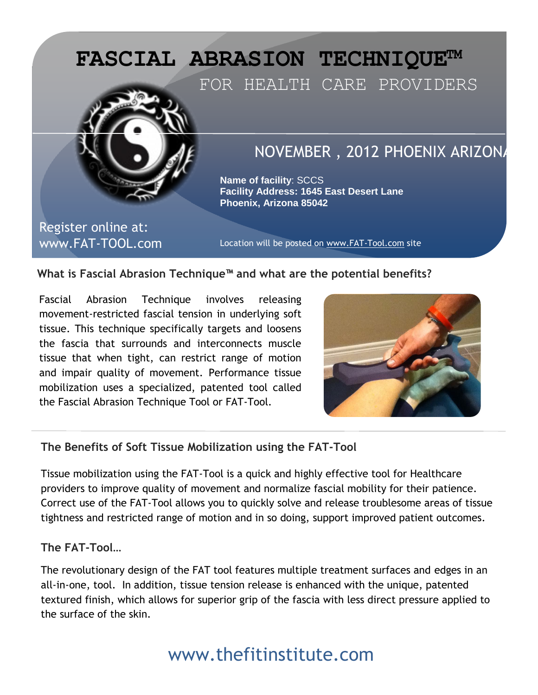

#### **What is Fascial Abrasion Technique™ and what are the potential benefits?**

Fascial Abrasion Technique involves releasing movement-restricted fascial tension in underlying soft tissue. This technique specifically targets and loosens the fascia that surrounds and interconnects muscle tissue that when tight, can restrict range of motion and impair quality of movement. Performance tissue mobilization uses a specialized, patented tool called the Fascial Abrasion Technique Tool or FAT-Tool.



#### **The Benefits of Soft Tissue Mobilization using the FAT-Tool**

Tissue mobilization using the FAT-Tool is a quick and highly effective tool for Healthcare providers to improve quality of movement and normalize fascial mobility for their patience. Correct use of the FAT-Tool allows you to quickly solve and release troublesome areas of tissue tightness and restricted range of motion and in so doing, support improved patient outcomes.

#### **The FAT-Tool…**

The revolutionary design of the FAT tool features multiple treatment surfaces and edges in an all-in-one, tool. In addition, tissue tension release is enhanced with the unique, patented textured finish, which allows for superior grip of the fascia with less direct pressure applied to the surface of the skin.

## www.thefitinstitute.com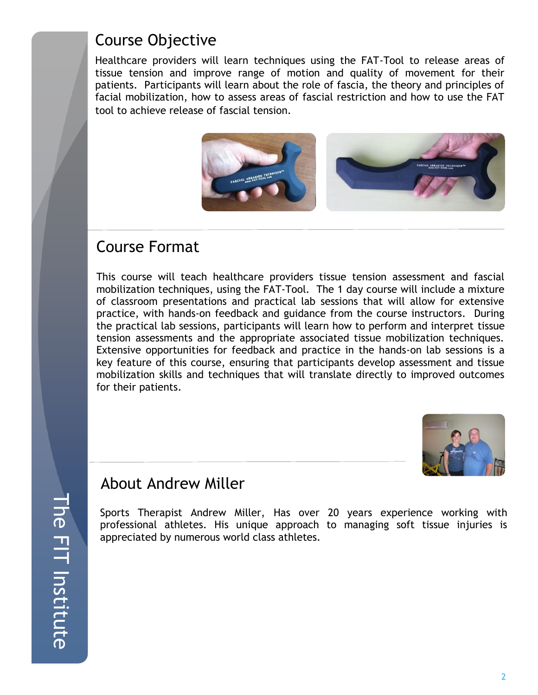### Course Objective

Healthcare providers will learn techniques using the FAT-Tool to release areas of tissue tension and improve range of motion and quality of movement for their patients. Participants will learn about the role of fascia, the theory and principles of facial mobilization, how to assess areas of fascial restriction and how to use the FAT tool to achieve release of fascial tension.



### Course Format

This course will teach healthcare providers tissue tension assessment and fascial mobilization techniques, using the FAT-Tool. The 1 day course will include a mixture of classroom presentations and practical lab sessions that will allow for extensive practice, with hands-on feedback and guidance from the course instructors. During the practical lab sessions, participants will learn how to perform and interpret tissue tension assessments and the appropriate associated tissue mobilization techniques. Extensive opportunities for feedback and practice in the hands-on lab sessions is a key feature of this course, ensuring that participants develop assessment and tissue mobilization skills and techniques that will translate directly to improved outcomes for their patients.



### About Andrew Miller

Sports Therapist Andrew Miller, Has over 20 years experience working with professional athletes. His unique approach to managing soft tissue injuries is appreciated by numerous world class athletes.